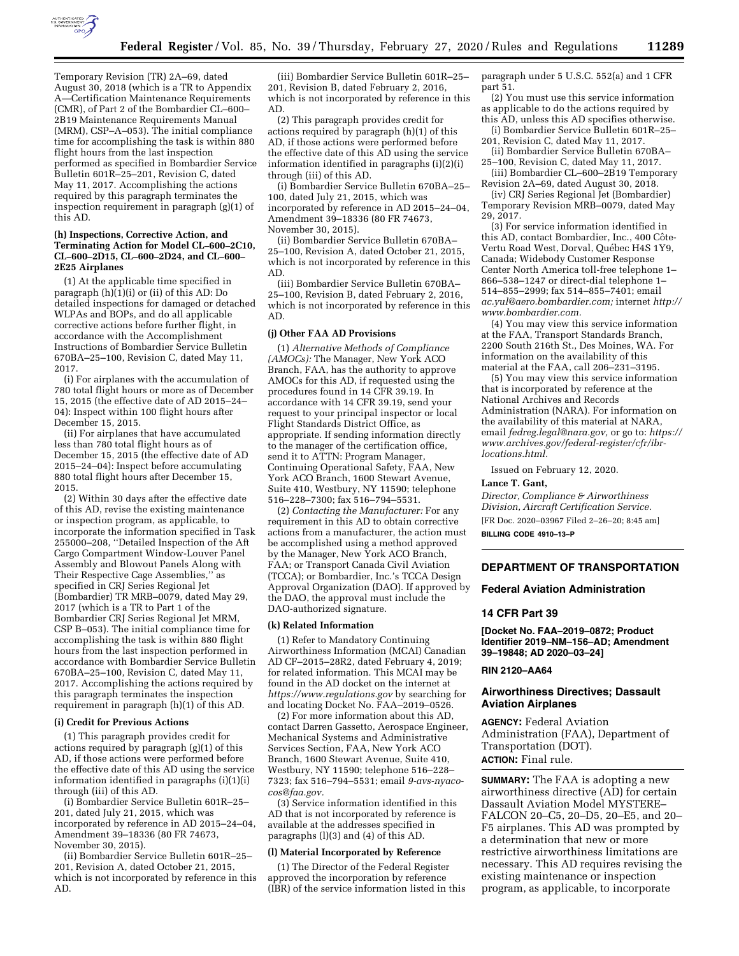

Temporary Revision (TR) 2A–69, dated August 30, 2018 (which is a TR to Appendix A—Certification Maintenance Requirements (CMR), of Part 2 of the Bombardier CL–600– 2B19 Maintenance Requirements Manual (MRM), CSP–A–053). The initial compliance time for accomplishing the task is within 880 flight hours from the last inspection performed as specified in Bombardier Service Bulletin 601R–25–201, Revision C, dated May 11, 2017. Accomplishing the actions required by this paragraph terminates the inspection requirement in paragraph (g)(1) of this AD.

## **(h) Inspections, Corrective Action, and Terminating Action for Model CL–600–2C10, CL–600–2D15, CL–600–2D24, and CL–600– 2E25 Airplanes**

(1) At the applicable time specified in paragraph  $(h)(1)(i)$  or (ii) of this AD: Do detailed inspections for damaged or detached WLPAs and BOPs, and do all applicable corrective actions before further flight, in accordance with the Accomplishment Instructions of Bombardier Service Bulletin 670BA–25–100, Revision C, dated May 11, 2017.

(i) For airplanes with the accumulation of 780 total flight hours or more as of December 15, 2015 (the effective date of AD 2015–24– 04): Inspect within 100 flight hours after December 15, 2015.

(ii) For airplanes that have accumulated less than 780 total flight hours as of December 15, 2015 (the effective date of AD 2015–24–04): Inspect before accumulating 880 total flight hours after December 15, 2015.

(2) Within 30 days after the effective date of this AD, revise the existing maintenance or inspection program, as applicable, to incorporate the information specified in Task 255000–208, ''Detailed Inspection of the Aft Cargo Compartment Window-Louver Panel Assembly and Blowout Panels Along with Their Respective Cage Assemblies,'' as specified in CRJ Series Regional Jet (Bombardier) TR MRB–0079, dated May 29, 2017 (which is a TR to Part 1 of the Bombardier CRJ Series Regional Jet MRM, CSP B–053). The initial compliance time for accomplishing the task is within 880 flight hours from the last inspection performed in accordance with Bombardier Service Bulletin 670BA–25–100, Revision C, dated May 11, 2017. Accomplishing the actions required by this paragraph terminates the inspection requirement in paragraph (h)(1) of this AD.

#### **(i) Credit for Previous Actions**

(1) This paragraph provides credit for actions required by paragraph (g)(1) of this AD, if those actions were performed before the effective date of this AD using the service information identified in paragraphs (i)(1)(i) through (iii) of this AD.

(i) Bombardier Service Bulletin 601R–25– 201, dated July 21, 2015, which was incorporated by reference in AD 2015–24–04, Amendment 39–18336 (80 FR 74673, November 30, 2015).

(ii) Bombardier Service Bulletin 601R–25– 201, Revision A, dated October 21, 2015, which is not incorporated by reference in this AD.

(iii) Bombardier Service Bulletin 601R–25– 201, Revision B, dated February 2, 2016, which is not incorporated by reference in this AD.

(2) This paragraph provides credit for actions required by paragraph (h)(1) of this AD, if those actions were performed before the effective date of this AD using the service information identified in paragraphs (i)(2)(i) through (iii) of this AD.

(i) Bombardier Service Bulletin 670BA–25– 100, dated July 21, 2015, which was incorporated by reference in AD 2015–24–04, Amendment 39–18336 (80 FR 74673, November 30, 2015).

(ii) Bombardier Service Bulletin 670BA– 25–100, Revision A, dated October 21, 2015, which is not incorporated by reference in this AD.

(iii) Bombardier Service Bulletin 670BA– 25–100, Revision B, dated February 2, 2016, which is not incorporated by reference in this AD.

### **(j) Other FAA AD Provisions**

(1) *Alternative Methods of Compliance (AMOCs):* The Manager, New York ACO Branch, FAA, has the authority to approve AMOCs for this AD, if requested using the procedures found in 14 CFR 39.19. In accordance with 14 CFR 39.19, send your request to your principal inspector or local Flight Standards District Office, as appropriate. If sending information directly to the manager of the certification office, send it to ATTN: Program Manager, Continuing Operational Safety, FAA, New York ACO Branch, 1600 Stewart Avenue, Suite 410, Westbury, NY 11590; telephone 516–228–7300; fax 516–794–5531.

(2) *Contacting the Manufacturer:* For any requirement in this AD to obtain corrective actions from a manufacturer, the action must be accomplished using a method approved by the Manager, New York ACO Branch, FAA; or Transport Canada Civil Aviation (TCCA); or Bombardier, Inc.'s TCCA Design Approval Organization (DAO). If approved by the DAO, the approval must include the DAO-authorized signature.

#### **(k) Related Information**

(1) Refer to Mandatory Continuing Airworthiness Information (MCAI) Canadian AD CF–2015–28R2, dated February 4, 2019; for related information. This MCAI may be found in the AD docket on the internet at *<https://www.regulations.gov>* by searching for and locating Docket No. FAA–2019–0526.

(2) For more information about this AD, contact Darren Gassetto, Aerospace Engineer, Mechanical Systems and Administrative Services Section, FAA, New York ACO Branch, 1600 Stewart Avenue, Suite 410, Westbury, NY 11590; telephone 516–228– 7323; fax 516–794–5531; email *[9-avs-nyaco](mailto:9-avs-nyaco-cos@faa.gov)[cos@faa.gov.](mailto:9-avs-nyaco-cos@faa.gov)* 

(3) Service information identified in this AD that is not incorporated by reference is available at the addresses specified in paragraphs (l)(3) and (4) of this AD.

#### **(l) Material Incorporated by Reference**

(1) The Director of the Federal Register approved the incorporation by reference (IBR) of the service information listed in this paragraph under 5 U.S.C. 552(a) and 1 CFR part 51.

(2) You must use this service information as applicable to do the actions required by this AD, unless this AD specifies otherwise.

(i) Bombardier Service Bulletin 601R–25– 201, Revision C, dated May 11, 2017.

(ii) Bombardier Service Bulletin 670BA– 25–100, Revision C, dated May 11, 2017. (iii) Bombardier CL–600–2B19 Temporary

Revision 2A–69, dated August 30, 2018. (iv) CRJ Series Regional Jet (Bombardier)

Temporary Revision MRB–0079, dated May 29, 2017.

(3) For service information identified in this AD, contact Bombardier, Inc., 400 Côte-Vertu Road West, Dorval, Québec H4S 1Y9, Canada; Widebody Customer Response Center North America toll-free telephone 1– 866–538–1247 or direct-dial telephone 1– 514–855–2999; fax 514–855–7401; email *[ac.yul@aero.bombardier.com;](mailto:ac.yul@aero.bombardier.com)* internet *[http://](http://www.bombardier.com)  [www.bombardier.com.](http://www.bombardier.com)* 

(4) You may view this service information at the FAA, Transport Standards Branch, 2200 South 216th St., Des Moines, WA. For information on the availability of this material at the FAA, call 206–231–3195.

(5) You may view this service information that is incorporated by reference at the National Archives and Records Administration (NARA). For information on the availability of this material at NARA, email *[fedreg.legal@nara.gov,](mailto:fedreg.legal@nara.gov)* or go to: *[https://](https://www.archives.gov/federal-register/cfr/ibr-locations.html) [www.archives.gov/federal-register/cfr/ibr](https://www.archives.gov/federal-register/cfr/ibr-locations.html)[locations.html.](https://www.archives.gov/federal-register/cfr/ibr-locations.html)* 

Issued on February 12, 2020.

# **Lance T. Gant,**

*Director, Compliance & Airworthiness Division, Aircraft Certification Service.* 

[FR Doc. 2020–03967 Filed 2–26–20; 8:45 am] **BILLING CODE 4910–13–P** 

## **DEPARTMENT OF TRANSPORTATION**

# **Federal Aviation Administration**

## **14 CFR Part 39**

**[Docket No. FAA–2019–0872; Product Identifier 2019–NM–156–AD; Amendment 39–19848; AD 2020–03–24]** 

## **RIN 2120–AA64**

# **Airworthiness Directives; Dassault Aviation Airplanes**

**AGENCY:** Federal Aviation Administration (FAA), Department of Transportation (DOT). **ACTION:** Final rule.

**SUMMARY:** The FAA is adopting a new airworthiness directive (AD) for certain Dassault Aviation Model MYSTERE– FALCON 20–C5, 20–D5, 20–E5, and 20– F5 airplanes. This AD was prompted by a determination that new or more restrictive airworthiness limitations are necessary. This AD requires revising the existing maintenance or inspection program, as applicable, to incorporate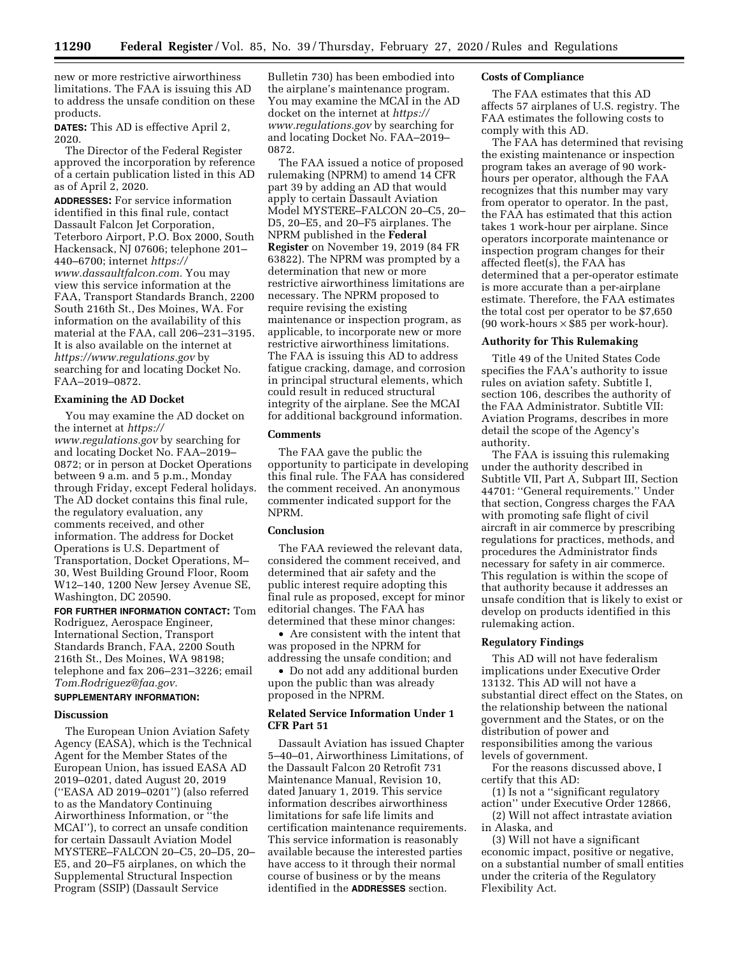new or more restrictive airworthiness limitations. The FAA is issuing this AD to address the unsafe condition on these products.

**DATES:** This AD is effective April 2, 2020.

The Director of the Federal Register approved the incorporation by reference of a certain publication listed in this AD as of April 2, 2020.

**ADDRESSES:** For service information identified in this final rule, contact Dassault Falcon Jet Corporation, Teterboro Airport, P.O. Box 2000, South Hackensack, NJ 07606; telephone 201– 440–6700; internet *[https://](https://www.dassaultfalcon.com) [www.dassaultfalcon.com.](https://www.dassaultfalcon.com)* You may view this service information at the FAA, Transport Standards Branch, 2200 South 216th St., Des Moines, WA. For information on the availability of this material at the FAA, call 206–231–3195. It is also available on the internet at *<https://www.regulations.gov>* by searching for and locating Docket No. FAA–2019–0872.

# **Examining the AD Docket**

You may examine the AD docket on the internet at *[https://](https://www.regulations.gov)*

*[www.regulations.gov](https://www.regulations.gov)* by searching for and locating Docket No. FAA–2019– 0872; or in person at Docket Operations between 9 a.m. and 5 p.m., Monday through Friday, except Federal holidays. The AD docket contains this final rule, the regulatory evaluation, any comments received, and other information. The address for Docket Operations is U.S. Department of Transportation, Docket Operations, M– 30, West Building Ground Floor, Room W12–140, 1200 New Jersey Avenue SE, Washington, DC 20590.

**FOR FURTHER INFORMATION CONTACT:** Tom Rodriguez, Aerospace Engineer, International Section, Transport Standards Branch, FAA, 2200 South 216th St., Des Moines, WA 98198; telephone and fax 206–231–3226; email *[Tom.Rodriguez@faa.gov.](mailto:Tom.Rodriguez@faa.gov)* 

# **SUPPLEMENTARY INFORMATION:**

## **Discussion**

The European Union Aviation Safety Agency (EASA), which is the Technical Agent for the Member States of the European Union, has issued EASA AD 2019–0201, dated August 20, 2019 (''EASA AD 2019–0201'') (also referred to as the Mandatory Continuing Airworthiness Information, or ''the MCAI''), to correct an unsafe condition for certain Dassault Aviation Model MYSTERE–FALCON 20–C5, 20–D5, 20– E5, and 20–F5 airplanes, on which the Supplemental Structural Inspection Program (SSIP) (Dassault Service

Bulletin 730) has been embodied into the airplane's maintenance program. You may examine the MCAI in the AD docket on the internet at *[https://](https://www.regulations.gov) [www.regulations.gov](https://www.regulations.gov)* by searching for and locating Docket No. FAA–2019– 0872.

The FAA issued a notice of proposed rulemaking (NPRM) to amend 14 CFR part 39 by adding an AD that would apply to certain Dassault Aviation Model MYSTERE–FALCON 20–C5, 20– D5, 20–E5, and 20–F5 airplanes. The NPRM published in the **Federal Register** on November 19, 2019 (84 FR 63822). The NPRM was prompted by a determination that new or more restrictive airworthiness limitations are necessary. The NPRM proposed to require revising the existing maintenance or inspection program, as applicable, to incorporate new or more restrictive airworthiness limitations. The FAA is issuing this AD to address fatigue cracking, damage, and corrosion in principal structural elements, which could result in reduced structural integrity of the airplane. See the MCAI for additional background information.

#### **Comments**

The FAA gave the public the opportunity to participate in developing this final rule. The FAA has considered the comment received. An anonymous commenter indicated support for the NPRM.

## **Conclusion**

The FAA reviewed the relevant data, considered the comment received, and determined that air safety and the public interest require adopting this final rule as proposed, except for minor editorial changes. The FAA has determined that these minor changes:

• Are consistent with the intent that was proposed in the NPRM for addressing the unsafe condition; and

• Do not add any additional burden upon the public than was already proposed in the NPRM.

# **Related Service Information Under 1 CFR Part 51**

Dassault Aviation has issued Chapter 5–40–01, Airworthiness Limitations, of the Dassault Falcon 20 Retrofit 731 Maintenance Manual, Revision 10, dated January 1, 2019. This service information describes airworthiness limitations for safe life limits and certification maintenance requirements. This service information is reasonably available because the interested parties have access to it through their normal course of business or by the means identified in the **ADDRESSES** section.

## **Costs of Compliance**

The FAA estimates that this AD affects 57 airplanes of U.S. registry. The FAA estimates the following costs to comply with this AD.

The FAA has determined that revising the existing maintenance or inspection program takes an average of 90 workhours per operator, although the FAA recognizes that this number may vary from operator to operator. In the past, the FAA has estimated that this action takes 1 work-hour per airplane. Since operators incorporate maintenance or inspection program changes for their affected fleet(s), the FAA has determined that a per-operator estimate is more accurate than a per-airplane estimate. Therefore, the FAA estimates the total cost per operator to be \$7,650 (90 work-hours  $\times$  \$85 per work-hour).

## **Authority for This Rulemaking**

Title 49 of the United States Code specifies the FAA's authority to issue rules on aviation safety. Subtitle I, section 106, describes the authority of the FAA Administrator. Subtitle VII: Aviation Programs, describes in more detail the scope of the Agency's authority.

The FAA is issuing this rulemaking under the authority described in Subtitle VII, Part A, Subpart III, Section 44701: ''General requirements.'' Under that section, Congress charges the FAA with promoting safe flight of civil aircraft in air commerce by prescribing regulations for practices, methods, and procedures the Administrator finds necessary for safety in air commerce. This regulation is within the scope of that authority because it addresses an unsafe condition that is likely to exist or develop on products identified in this rulemaking action.

## **Regulatory Findings**

This AD will not have federalism implications under Executive Order 13132. This AD will not have a substantial direct effect on the States, on the relationship between the national government and the States, or on the distribution of power and responsibilities among the various levels of government.

For the reasons discussed above, I certify that this AD:

(1) Is not a ''significant regulatory action'' under Executive Order 12866,

(2) Will not affect intrastate aviation in Alaska, and

(3) Will not have a significant economic impact, positive or negative, on a substantial number of small entities under the criteria of the Regulatory Flexibility Act.